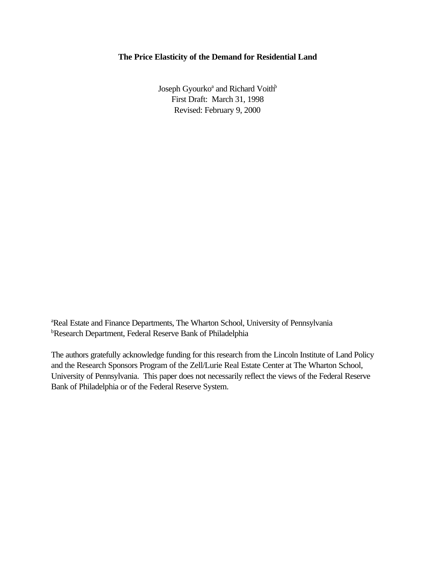## **The Price Elasticity of the Demand for Residential Land**

Joseph Gyourko<sup>a</sup> and Richard Voith<sup>b</sup> First Draft: March 31, 1998 Revised: February 9, 2000

<sup>a</sup>Real Estate and Finance Departments, The Wharton School, University of Pennsylvania **bResearch Department, Federal Reserve Bank of Philadelphia** 

The authors gratefully acknowledge funding for this research from the Lincoln Institute of Land Policy and the Research Sponsors Program of the Zell/Lurie Real Estate Center at The Wharton School, University of Pennsylvania. This paper does not necessarily reflect the views of the Federal Reserve Bank of Philadelphia or of the Federal Reserve System.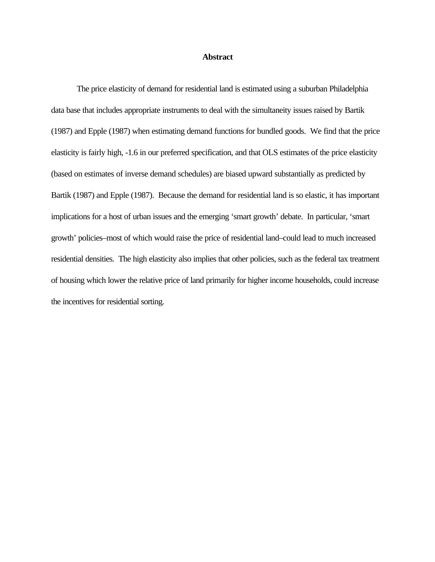#### **Abstract**

The price elasticity of demand for residential land is estimated using a suburban Philadelphia data base that includes appropriate instruments to deal with the simultaneity issues raised by Bartik (1987) and Epple (1987) when estimating demand functions for bundled goods. We find that the price elasticity is fairly high, -1.6 in our preferred specification, and that OLS estimates of the price elasticity (based on estimates of inverse demand schedules) are biased upward substantially as predicted by Bartik (1987) and Epple (1987). Because the demand for residential land is so elastic, it has important implications for a host of urban issues and the emerging 'smart growth' debate. In particular, 'smart growth' policies–most of which would raise the price of residential land–could lead to much increased residential densities. The high elasticity also implies that other policies, such as the federal tax treatment of housing which lower the relative price of land primarily for higher income households, could increase the incentives for residential sorting.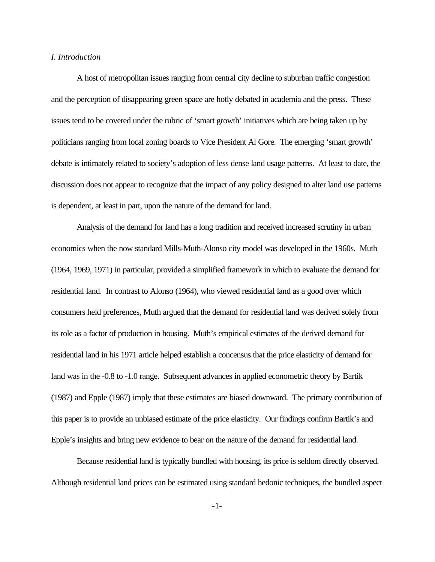### *I. Introduction*

A host of metropolitan issues ranging from central city decline to suburban traffic congestion and the perception of disappearing green space are hotly debated in academia and the press. These issues tend to be covered under the rubric of 'smart growth' initiatives which are being taken up by politicians ranging from local zoning boards to Vice President Al Gore. The emerging 'smart growth' debate is intimately related to society's adoption of less dense land usage patterns. At least to date, the discussion does not appear to recognize that the impact of any policy designed to alter land use patterns is dependent, at least in part, upon the nature of the demand for land.

Analysis of the demand for land has a long tradition and received increased scrutiny in urban economics when the now standard Mills-Muth-Alonso city model was developed in the 1960s. Muth (1964, 1969, 1971) in particular, provided a simplified framework in which to evaluate the demand for residential land. In contrast to Alonso (1964), who viewed residential land as a good over which consumers held preferences, Muth argued that the demand for residential land was derived solely from its role as a factor of production in housing. Muth's empirical estimates of the derived demand for residential land in his 1971 article helped establish a concensus that the price elasticity of demand for land was in the -0.8 to -1.0 range. Subsequent advances in applied econometric theory by Bartik (1987) and Epple (1987) imply that these estimates are biased downward. The primary contribution of this paper is to provide an unbiased estimate of the price elasticity. Our findings confirm Bartik's and Epple's insights and bring new evidence to bear on the nature of the demand for residential land.

Because residential land is typically bundled with housing, its price is seldom directly observed. Although residential land prices can be estimated using standard hedonic techniques, the bundled aspect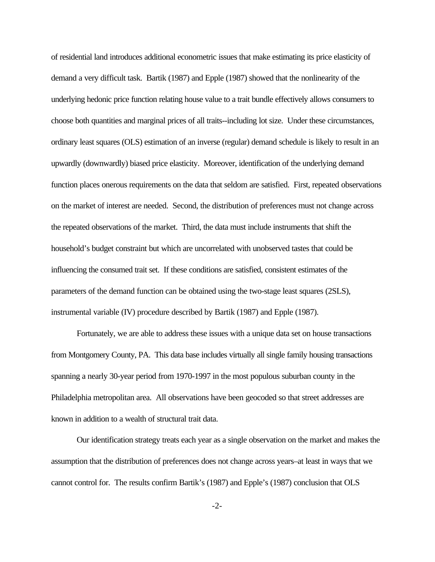of residential land introduces additional econometric issues that make estimating its price elasticity of demand a very difficult task. Bartik (1987) and Epple (1987) showed that the nonlinearity of the underlying hedonic price function relating house value to a trait bundle effectively allows consumers to choose both quantities and marginal prices of all traits--including lot size. Under these circumstances, ordinary least squares (OLS) estimation of an inverse (regular) demand schedule is likely to result in an upwardly (downwardly) biased price elasticity. Moreover, identification of the underlying demand function places onerous requirements on the data that seldom are satisfied. First, repeated observations on the market of interest are needed. Second, the distribution of preferences must not change across the repeated observations of the market. Third, the data must include instruments that shift the household's budget constraint but which are uncorrelated with unobserved tastes that could be influencing the consumed trait set. If these conditions are satisfied, consistent estimates of the parameters of the demand function can be obtained using the two-stage least squares (2SLS), instrumental variable (IV) procedure described by Bartik (1987) and Epple (1987).

Fortunately, we are able to address these issues with a unique data set on house transactions from Montgomery County, PA. This data base includes virtually all single family housing transactions spanning a nearly 30-year period from 1970-1997 in the most populous suburban county in the Philadelphia metropolitan area. All observations have been geocoded so that street addresses are known in addition to a wealth of structural trait data.

Our identification strategy treats each year as a single observation on the market and makes the assumption that the distribution of preferences does not change across years–at least in ways that we cannot control for. The results confirm Bartik's (1987) and Epple's (1987) conclusion that OLS

-2-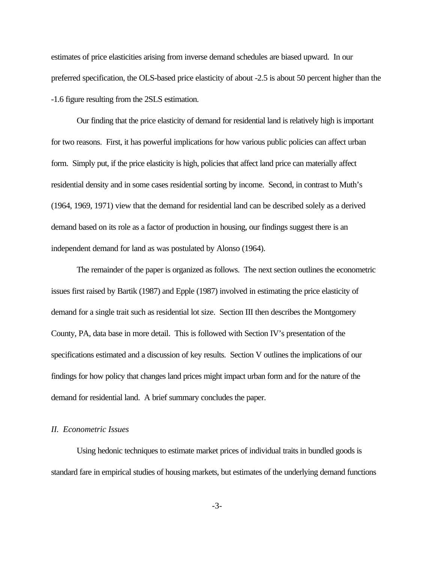estimates of price elasticities arising from inverse demand schedules are biased upward. In our preferred specification, the OLS-based price elasticity of about -2.5 is about 50 percent higher than the -1.6 figure resulting from the 2SLS estimation.

Our finding that the price elasticity of demand for residential land is relatively high is important for two reasons. First, it has powerful implications for how various public policies can affect urban form. Simply put, if the price elasticity is high, policies that affect land price can materially affect residential density and in some cases residential sorting by income. Second, in contrast to Muth's (1964, 1969, 1971) view that the demand for residential land can be described solely as a derived demand based on its role as a factor of production in housing, our findings suggest there is an independent demand for land as was postulated by Alonso (1964).

The remainder of the paper is organized as follows. The next section outlines the econometric issues first raised by Bartik (1987) and Epple (1987) involved in estimating the price elasticity of demand for a single trait such as residential lot size. Section III then describes the Montgomery County, PA, data base in more detail. This is followed with Section IV's presentation of the specifications estimated and a discussion of key results. Section V outlines the implications of our findings for how policy that changes land prices might impact urban form and for the nature of the demand for residential land. A brief summary concludes the paper.

#### *II. Econometric Issues*

Using hedonic techniques to estimate market prices of individual traits in bundled goods is standard fare in empirical studies of housing markets, but estimates of the underlying demand functions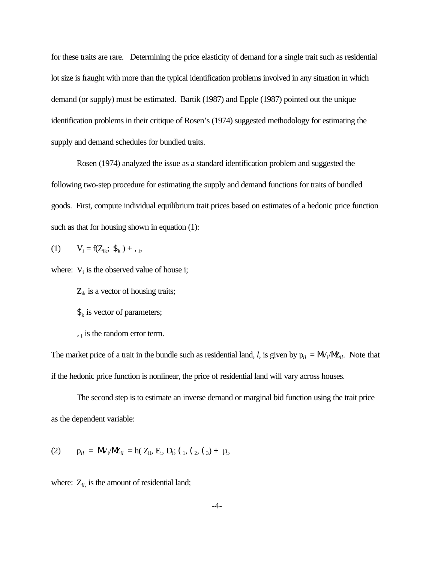for these traits are rare. Determining the price elasticity of demand for a single trait such as residential lot size is fraught with more than the typical identification problems involved in any situation in which demand (or supply) must be estimated. Bartik (1987) and Epple (1987) pointed out the unique identification problems in their critique of Rosen's (1974) suggested methodology for estimating the supply and demand schedules for bundled traits.

Rosen (1974) analyzed the issue as a standard identification problem and suggested the following two-step procedure for estimating the supply and demand functions for traits of bundled goods. First, compute individual equilibrium trait prices based on estimates of a hedonic price function such as that for housing shown in equation (1):

$$
(1) \qquad V_i = f(Z_{ik}; \mathbf{\$}_k) + \ldots,
$$

where:  $V_i$  is the observed value of house i;

- $Z_{ik}$  is a vector of housing traits;
- $\mathbf{\$}_{k}$  is vector of parameters;
- $, i$  is the random error term.

The market price of a trait in the bundle such as residential land, *l*, is given by  $p_{il} = MV_{il}M/Z_{il}$ . Note that if the hedonic price function is nonlinear, the price of residential land will vary across houses.

The second step is to estimate an inverse demand or marginal bid function using the trait price as the dependent variable:

(2) 
$$
p_{il} = MV_i/MZ_{il} = h(Z_{il}, E_i, D_i; \zeta_1, \zeta_2, \zeta_3) + \mu_i
$$

where:  $Z_{il}$  is the amount of residential land;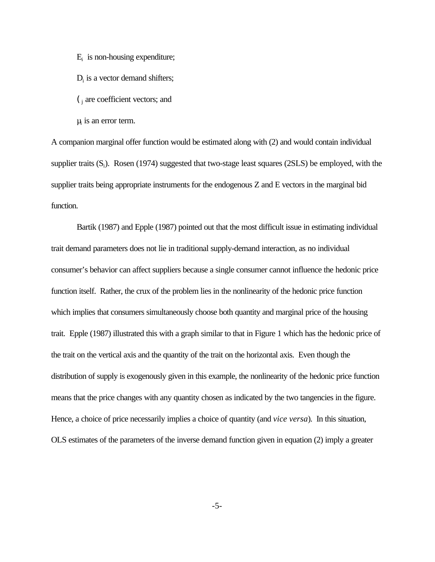$E_i$  is non-housing expenditure;

 $D_i$  is a vector demand shifters;

- $\zeta$  are coefficient vectors; and
- $\mu_i$  is an error term.

A companion marginal offer function would be estimated along with (2) and would contain individual supplier traits  $(S_i)$ . Rosen (1974) suggested that two-stage least squares (2SLS) be employed, with the supplier traits being appropriate instruments for the endogenous Z and E vectors in the marginal bid function.

Bartik (1987) and Epple (1987) pointed out that the most difficult issue in estimating individual trait demand parameters does not lie in traditional supply-demand interaction, as no individual consumer's behavior can affect suppliers because a single consumer cannot influence the hedonic price function itself. Rather, the crux of the problem lies in the nonlinearity of the hedonic price function which implies that consumers simultaneously choose both quantity and marginal price of the housing trait. Epple (1987) illustrated this with a graph similar to that in Figure 1 which has the hedonic price of the trait on the vertical axis and the quantity of the trait on the horizontal axis. Even though the distribution of supply is exogenously given in this example, the nonlinearity of the hedonic price function means that the price changes with any quantity chosen as indicated by the two tangencies in the figure. Hence, a choice of price necessarily implies a choice of quantity (and *vice versa*). In this situation, OLS estimates of the parameters of the inverse demand function given in equation (2) imply a greater

-5-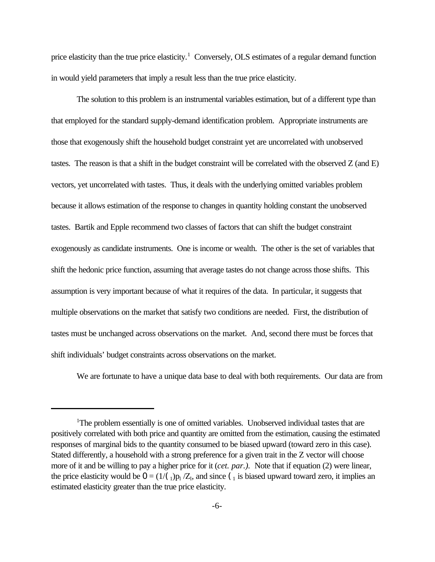price elasticity than the true price elasticity.<sup>1</sup> Conversely, OLS estimates of a regular demand function in would yield parameters that imply a result less than the true price elasticity.

The solution to this problem is an instrumental variables estimation, but of a different type than that employed for the standard supply-demand identification problem. Appropriate instruments are those that exogenously shift the household budget constraint yet are uncorrelated with unobserved tastes. The reason is that a shift in the budget constraint will be correlated with the observed Z (and E) vectors, yet uncorrelated with tastes. Thus, it deals with the underlying omitted variables problem because it allows estimation of the response to changes in quantity holding constant the unobserved tastes. Bartik and Epple recommend two classes of factors that can shift the budget constraint exogenously as candidate instruments. One is income or wealth. The other is the set of variables that shift the hedonic price function, assuming that average tastes do not change across those shifts. This assumption is very important because of what it requires of the data. In particular, it suggests that multiple observations on the market that satisfy two conditions are needed. First, the distribution of tastes must be unchanged across observations on the market. And, second there must be forces that shift individuals' budget constraints across observations on the market.

We are fortunate to have a unique data base to deal with both requirements. Our data are from

<sup>&</sup>lt;sup>1</sup>The problem essentially is one of omitted variables. Unobserved individual tastes that are positively correlated with both price and quantity are omitted from the estimation, causing the estimated responses of marginal bids to the quantity consumed to be biased upward (toward zero in this case). Stated differently, a household with a strong preference for a given trait in the Z vector will choose more of it and be willing to pay a higher price for it (*cet. par.).* Note that if equation (2) were linear, the price elasticity would be  $0 = (1/\binom{1}{1}p_1/Z_1)$ , and since  $\binom{1}{1}$  is biased upward toward zero, it implies an estimated elasticity greater than the true price elasticity.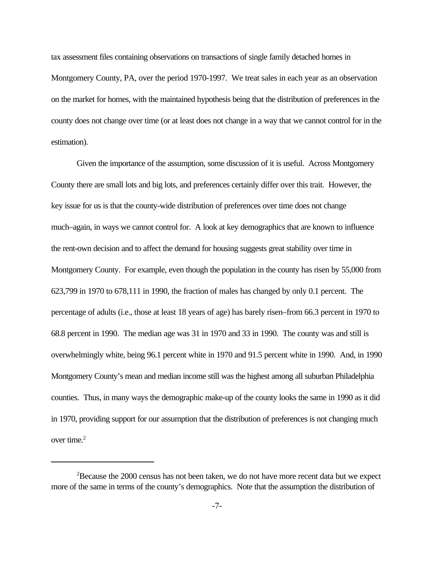tax assessment files containing observations on transactions of single family detached homes in Montgomery County, PA, over the period 1970-1997. We treat sales in each year as an observation on the market for homes, with the maintained hypothesis being that the distribution of preferences in the county does not change over time (or at least does not change in a way that we cannot control for in the estimation).

Given the importance of the assumption, some discussion of it is useful. Across Montgomery County there are small lots and big lots, and preferences certainly differ over this trait. However, the key issue for us is that the county-wide distribution of preferences over time does not change much–again, in ways we cannot control for. A look at key demographics that are known to influence the rent-own decision and to affect the demand for housing suggests great stability over time in Montgomery County. For example, even though the population in the county has risen by 55,000 from 623,799 in 1970 to 678,111 in 1990, the fraction of males has changed by only 0.1 percent. The percentage of adults (i.e., those at least 18 years of age) has barely risen–from 66.3 percent in 1970 to 68.8 percent in 1990. The median age was 31 in 1970 and 33 in 1990. The county was and still is overwhelmingly white, being 96.1 percent white in 1970 and 91.5 percent white in 1990. And, in 1990 Montgomery County's mean and median income still was the highest among all suburban Philadelphia counties. Thus, in many ways the demographic make-up of the county looks the same in 1990 as it did in 1970, providing support for our assumption that the distribution of preferences is not changing much over time. $2$ 

<sup>&</sup>lt;sup>2</sup>Because the 2000 census has not been taken, we do not have more recent data but we expect more of the same in terms of the county's demographics. Note that the assumption the distribution of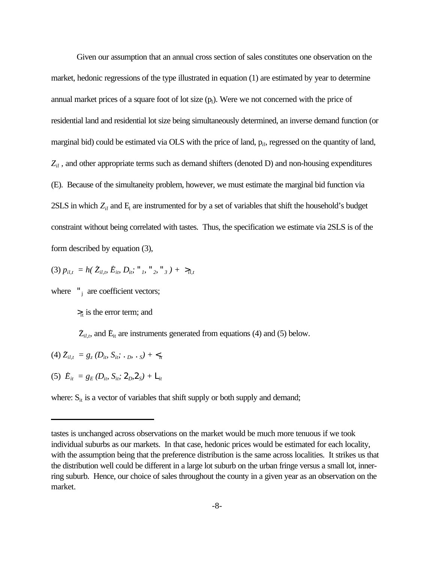Given our assumption that an annual cross section of sales constitutes one observation on the market, hedonic regressions of the type illustrated in equation (1) are estimated by year to determine annual market prices of a square foot of lot size  $(p<sub>l</sub>)$ . Were we not concerned with the price of residential land and residential lot size being simultaneously determined, an inverse demand function (or marginal bid) could be estimated via OLS with the price of land, p<sub>il</sub>, regressed on the quantity of land, *Zil ,* and other appropriate terms such as demand shifters (denoted D) and non-housing expenditures (E). Because of the simultaneity problem, however, we must estimate the marginal bid function via  $2SLS$  in which  $Z_{il}$  and  $E_i$  are instrumented for by a set of variables that shift the household's budget constraint without being correlated with tastes. Thus, the specification we estimate via 2SLS is of the form described by equation (3),

$$
(3) p_{il,t} = h(\hat{Z}_{il,t}, \hat{E}_{it}, D_{it}; \text{''}, \text{''}, \text{''}, \text{''}) + \sum_{il,t}
$$

where  $\mathbf{u}_j$  are coefficient vectors;

 $\mathbf{p}_{it}$  is the error term; and

 $\hat{Z}_{i l,t}$ , and  $\hat{E}_{i t}$  are instruments generated from equations (4) and (5) below.

$$
(4) \,\hat{Z}_{i l, t} = g_z \,(D_{i r} \, S_{i t} ; \, \cdot_{D r} \, \cdot \, s) + \, \epsilon_{i t}
$$

(5)  $\hat{E}_{it} = g_E (D_{it}, S_{it}; 2_D, 2_S) + L_{it}$ 

where:  $S_{it}$  is a vector of variables that shift supply or both supply and demand;

tastes is unchanged across observations on the market would be much more tenuous if we took individual suburbs as our markets. In that case, hedonic prices would be estimated for each locality, with the assumption being that the preference distribution is the same across localities. It strikes us that the distribution well could be different in a large lot suburb on the urban fringe versus a small lot, innerring suburb. Hence, our choice of sales throughout the county in a given year as an observation on the market.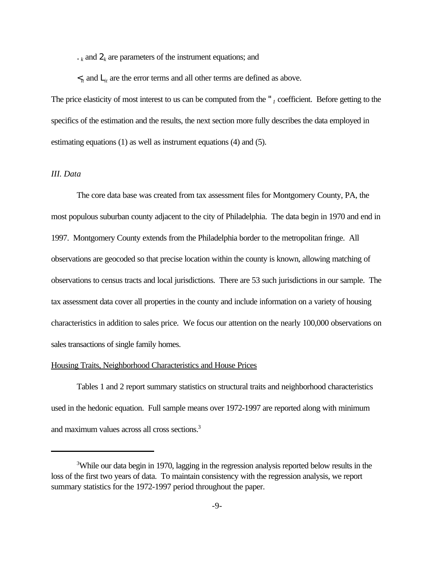*.<sup>k</sup>* and *2<sup>k</sup>* are parameters of the instrument equations; and

 $\leq$ <sub>*it*</sub> and  $L$ <sub>*it*</sub> are the error terms and all other terms are defined as above.

The price elasticity of most interest to us can be computed from the "<sub>*1*</sub> coefficient. Before getting to the specifics of the estimation and the results, the next section more fully describes the data employed in estimating equations (1) as well as instrument equations (4) and (5).

## *III. Data*

The core data base was created from tax assessment files for Montgomery County, PA, the most populous suburban county adjacent to the city of Philadelphia. The data begin in 1970 and end in 1997. Montgomery County extends from the Philadelphia border to the metropolitan fringe. All observations are geocoded so that precise location within the county is known, allowing matching of observations to census tracts and local jurisdictions. There are 53 such jurisdictions in our sample. The tax assessment data cover all properties in the county and include information on a variety of housing characteristics in addition to sales price. We focus our attention on the nearly 100,000 observations on sales transactions of single family homes.

#### Housing Traits, Neighborhood Characteristics and House Prices

Tables 1 and 2 report summary statistics on structural traits and neighborhood characteristics used in the hedonic equation. Full sample means over 1972-1997 are reported along with minimum and maximum values across all cross sections.<sup>3</sup>

<sup>&</sup>lt;sup>3</sup>While our data begin in 1970, lagging in the regression analysis reported below results in the loss of the first two years of data. To maintain consistency with the regression analysis, we report summary statistics for the 1972-1997 period throughout the paper.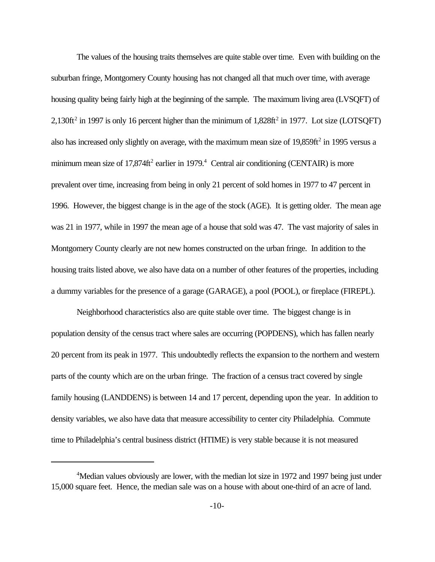The values of the housing traits themselves are quite stable over time. Even with building on the suburban fringe, Montgomery County housing has not changed all that much over time, with average housing quality being fairly high at the beginning of the sample. The maximum living area (LVSQFT) of  $2,130$ ft<sup>2</sup> in 1997 is only 16 percent higher than the minimum of  $1,828$ ft<sup>2</sup> in 1977. Lot size (LOTSQFT) also has increased only slightly on average, with the maximum mean size of  $19,859$ ft<sup>2</sup> in 1995 versus a minimum mean size of 17,874ft<sup>2</sup> earlier in 1979.<sup>4</sup> Central air conditioning (CENTAIR) is more prevalent over time, increasing from being in only 21 percent of sold homes in 1977 to 47 percent in 1996. However, the biggest change is in the age of the stock (AGE). It is getting older. The mean age was 21 in 1977, while in 1997 the mean age of a house that sold was 47. The vast majority of sales in Montgomery County clearly are not new homes constructed on the urban fringe. In addition to the housing traits listed above, we also have data on a number of other features of the properties, including a dummy variables for the presence of a garage (GARAGE), a pool (POOL), or fireplace (FIREPL).

Neighborhood characteristics also are quite stable over time. The biggest change is in population density of the census tract where sales are occurring (POPDENS), which has fallen nearly 20 percent from its peak in 1977. This undoubtedly reflects the expansion to the northern and western parts of the county which are on the urban fringe. The fraction of a census tract covered by single family housing (LANDDENS) is between 14 and 17 percent, depending upon the year. In addition to density variables, we also have data that measure accessibility to center city Philadelphia. Commute time to Philadelphia's central business district (HTIME) is very stable because it is not measured

<sup>&</sup>lt;sup>4</sup>Median values obviously are lower, with the median lot size in 1972 and 1997 being just under 15,000 square feet. Hence, the median sale was on a house with about one-third of an acre of land.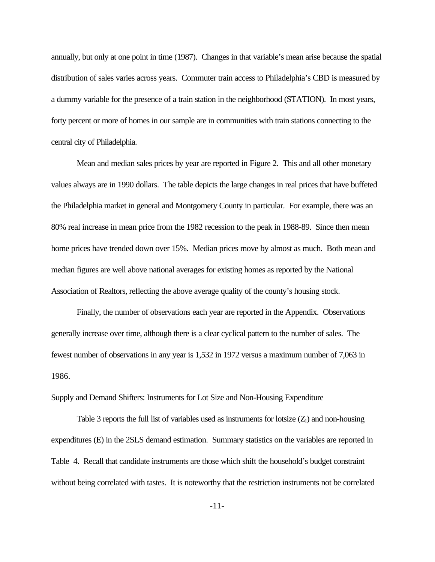annually, but only at one point in time (1987). Changes in that variable's mean arise because the spatial distribution of sales varies across years. Commuter train access to Philadelphia's CBD is measured by a dummy variable for the presence of a train station in the neighborhood (STATION). In most years, forty percent or more of homes in our sample are in communities with train stations connecting to the central city of Philadelphia.

Mean and median sales prices by year are reported in Figure 2. This and all other monetary values always are in 1990 dollars. The table depicts the large changes in real prices that have buffeted the Philadelphia market in general and Montgomery County in particular. For example, there was an 80% real increase in mean price from the 1982 recession to the peak in 1988-89. Since then mean home prices have trended down over 15%. Median prices move by almost as much. Both mean and median figures are well above national averages for existing homes as reported by the National Association of Realtors, reflecting the above average quality of the county's housing stock.

Finally, the number of observations each year are reported in the Appendix. Observations generally increase over time, although there is a clear cyclical pattern to the number of sales. The fewest number of observations in any year is 1,532 in 1972 versus a maximum number of 7,063 in 1986.

#### Supply and Demand Shifters: Instruments for Lot Size and Non-Housing Expenditure

Table 3 reports the full list of variables used as instruments for lotsize  $(Z<sub>1</sub>)$  and non-housing expenditures (E) in the 2SLS demand estimation. Summary statistics on the variables are reported in Table 4. Recall that candidate instruments are those which shift the household's budget constraint without being correlated with tastes. It is noteworthy that the restriction instruments not be correlated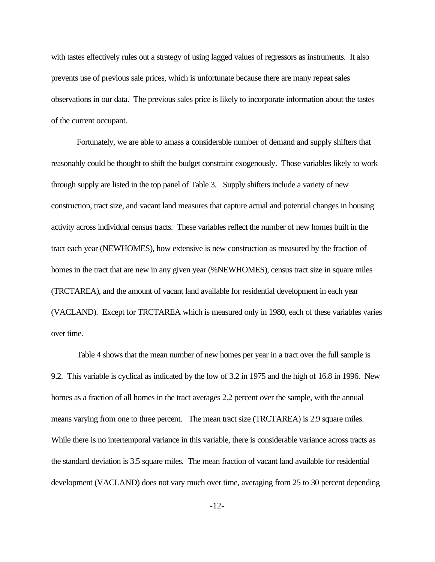with tastes effectively rules out a strategy of using lagged values of regressors as instruments. It also prevents use of previous sale prices, which is unfortunate because there are many repeat sales observations in our data. The previous sales price is likely to incorporate information about the tastes of the current occupant.

Fortunately, we are able to amass a considerable number of demand and supply shifters that reasonably could be thought to shift the budget constraint exogenously. Those variables likely to work through supply are listed in the top panel of Table 3. Supply shifters include a variety of new construction, tract size, and vacant land measures that capture actual and potential changes in housing activity across individual census tracts. These variables reflect the number of new homes built in the tract each year (NEWHOMES), how extensive is new construction as measured by the fraction of homes in the tract that are new in any given year (%NEWHOMES), census tract size in square miles (TRCTAREA), and the amount of vacant land available for residential development in each year (VACLAND). Except for TRCTAREA which is measured only in 1980, each of these variables varies over time.

Table 4 shows that the mean number of new homes per year in a tract over the full sample is 9.2. This variable is cyclical as indicated by the low of 3.2 in 1975 and the high of 16.8 in 1996. New homes as a fraction of all homes in the tract averages 2.2 percent over the sample, with the annual means varying from one to three percent. The mean tract size (TRCTAREA) is 2.9 square miles. While there is no intertemporal variance in this variable, there is considerable variance across tracts as the standard deviation is 3.5 square miles. The mean fraction of vacant land available for residential development (VACLAND) does not vary much over time, averaging from 25 to 30 percent depending

-12-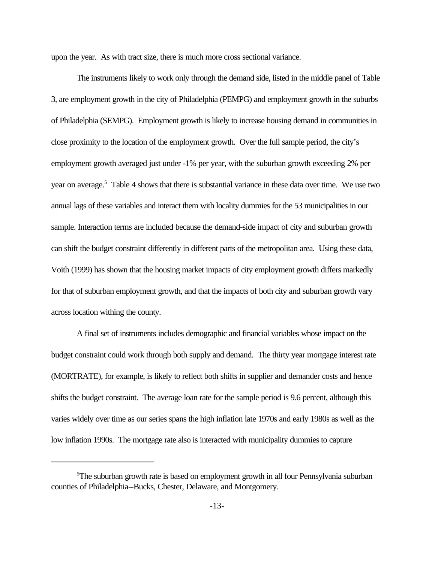upon the year. As with tract size, there is much more cross sectional variance.

The instruments likely to work only through the demand side, listed in the middle panel of Table 3, are employment growth in the city of Philadelphia (PEMPG) and employment growth in the suburbs of Philadelphia (SEMPG). Employment growth is likely to increase housing demand in communities in close proximity to the location of the employment growth. Over the full sample period, the city's employment growth averaged just under -1% per year, with the suburban growth exceeding 2% per year on average.<sup>5</sup> Table 4 shows that there is substantial variance in these data over time. We use two annual lags of these variables and interact them with locality dummies for the 53 municipalities in our sample. Interaction terms are included because the demand-side impact of city and suburban growth can shift the budget constraint differently in different parts of the metropolitan area. Using these data, Voith (1999) has shown that the housing market impacts of city employment growth differs markedly for that of suburban employment growth, and that the impacts of both city and suburban growth vary across location withing the county.

A final set of instruments includes demographic and financial variables whose impact on the budget constraint could work through both supply and demand. The thirty year mortgage interest rate (MORTRATE), for example, is likely to reflect both shifts in supplier and demander costs and hence shifts the budget constraint. The average loan rate for the sample period is 9.6 percent, although this varies widely over time as our series spans the high inflation late 1970s and early 1980s as well as the low inflation 1990s. The mortgage rate also is interacted with municipality dummies to capture

<sup>&</sup>lt;sup>5</sup>The suburban growth rate is based on employment growth in all four Pennsylvania suburban counties of Philadelphia--Bucks, Chester, Delaware, and Montgomery.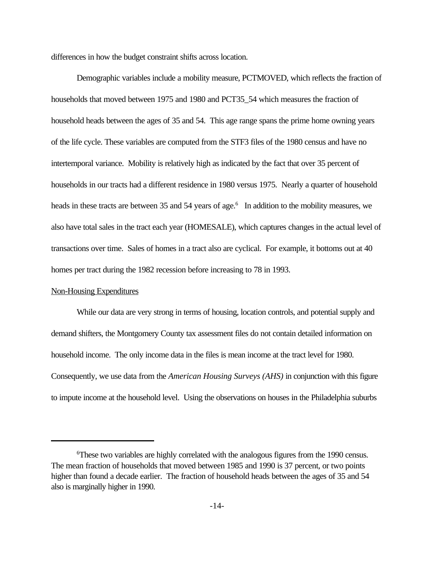differences in how the budget constraint shifts across location.

Demographic variables include a mobility measure, PCTMOVED, which reflects the fraction of households that moved between 1975 and 1980 and PCT35 54 which measures the fraction of household heads between the ages of 35 and 54. This age range spans the prime home owning years of the life cycle. These variables are computed from the STF3 files of the 1980 census and have no intertemporal variance. Mobility is relatively high as indicated by the fact that over 35 percent of households in our tracts had a different residence in 1980 versus 1975. Nearly a quarter of household heads in these tracts are between 35 and 54 years of age.<sup>6</sup> In addition to the mobility measures, we also have total sales in the tract each year (HOMESALE), which captures changes in the actual level of transactions over time. Sales of homes in a tract also are cyclical. For example, it bottoms out at 40 homes per tract during the 1982 recession before increasing to 78 in 1993.

#### Non-Housing Expenditures

While our data are very strong in terms of housing, location controls, and potential supply and demand shifters, the Montgomery County tax assessment files do not contain detailed information on household income. The only income data in the files is mean income at the tract level for 1980. Consequently, we use data from the *American Housing Surveys (AHS)* in conjunction with this figure to impute income at the household level. Using the observations on houses in the Philadelphia suburbs

<sup>6</sup>These two variables are highly correlated with the analogous figures from the 1990 census. The mean fraction of households that moved between 1985 and 1990 is 37 percent, or two points higher than found a decade earlier. The fraction of household heads between the ages of 35 and 54 also is marginally higher in 1990.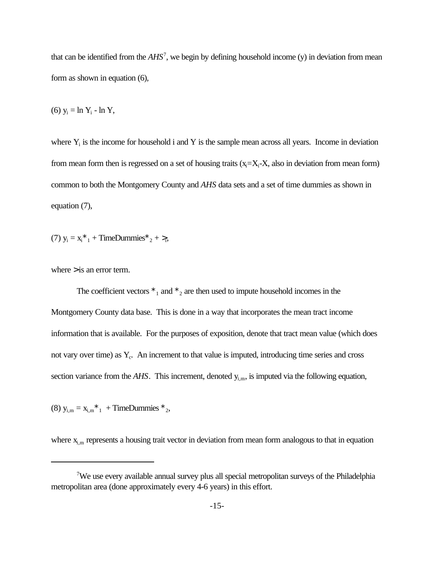that can be identified from the *AHS*<sup>7</sup> , we begin by defining household income (y) in deviation from mean form as shown in equation (6),

(6) 
$$
y_i = \ln Y_i - \ln Y
$$
,

where  $Y_i$  is the income for household i and Y is the sample mean across all years. Income in deviation from mean form then is regressed on a set of housing traits  $(x_i = X_i - X_i)$ , also in deviation from mean form) common to both the Montgomery County and *AHS* data sets and a set of time dummies as shown in equation (7),

(7)  $y_i = x_i *_{1} + TimeDummies *_{2} + >_{i}$ 

where  $>$  is an error term.

The coefficient vectors  $x_1$  and  $x_2$  are then used to impute household incomes in the Montgomery County data base. This is done in a way that incorporates the mean tract income information that is available. For the purposes of exposition, denote that tract mean value (which does not vary over time) as  $Y_c$ . An increment to that value is imputed, introducing time series and cross section variance from the  $A$ *HS*. This increment, denoted  $y_{i,m}$ , is imputed via the following equation,

(8)  $y_{i,m} = x_{i,m} *_{1} + TimeDummies *_{2}$ 

where  $x_{i,m}$  represents a housing trait vector in deviation from mean form analogous to that in equation

<sup>&</sup>lt;sup>7</sup>We use every available annual survey plus all special metropolitan surveys of the Philadelphia metropolitan area (done approximately every 4-6 years) in this effort.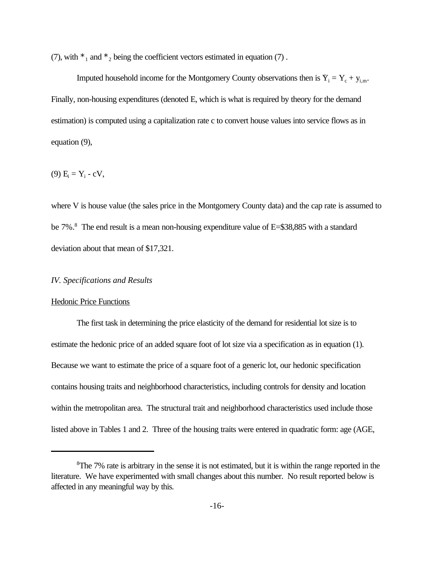(7), with  $x_1$  and  $x_2$  being the coefficient vectors estimated in equation (7).

Imputed household income for the Montgomery County observations then is  $\hat{Y}_i = Y_c + y_{i,m}$ . Finally, non-housing expenditures (denoted E, which is what is required by theory for the demand estimation) is computed using a capitalization rate c to convert house values into service flows as in equation (9),

(9)  $E_i = Y_i - cV$ ,

where V is house value (the sales price in the Montgomery County data) and the cap rate is assumed to be  $7\%$ .<sup>8</sup> The end result is a mean non-housing expenditure value of E=\$38,885 with a standard deviation about that mean of \$17,321.

## *IV. Specifications and Results*

#### Hedonic Price Functions

The first task in determining the price elasticity of the demand for residential lot size is to estimate the hedonic price of an added square foot of lot size via a specification as in equation (1). Because we want to estimate the price of a square foot of a generic lot, our hedonic specification contains housing traits and neighborhood characteristics, including controls for density and location within the metropolitan area. The structural trait and neighborhood characteristics used include those listed above in Tables 1 and 2. Three of the housing traits were entered in quadratic form: age (AGE,

 ${}^{8}$ The 7% rate is arbitrary in the sense it is not estimated, but it is within the range reported in the literature. We have experimented with small changes about this number. No result reported below is affected in any meaningful way by this.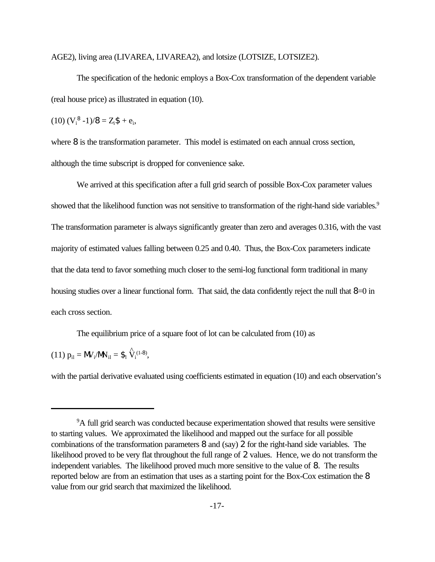AGE2), living area (LIVAREA, LIVAREA2), and lotsize (LOTSIZE, LOTSIZE2).

The specification of the hedonic employs a Box-Cox transformation of the dependent variable (real house price) as illustrated in equation (10).

 $(10) (V_i^8 - 1)/8 = Z_i^6 + e_i,$ 

where 8 is the transformation parameter. This model is estimated on each annual cross section, although the time subscript is dropped for convenience sake.

We arrived at this specification after a full grid search of possible Box-Cox parameter values showed that the likelihood function was not sensitive to transformation of the right-hand side variables.<sup>9</sup> The transformation parameter is always significantly greater than zero and averages 0.316, with the vast majority of estimated values falling between 0.25 and 0.40. Thus, the Box-Cox parameters indicate that the data tend to favor something much closer to the semi-log functional form traditional in many housing studies over a linear functional form. That said, the data confidently reject the null that 8=0 in each cross section.

The equilibrium price of a square foot of lot can be calculated from (10) as

(11)  $p_{i1} = MV_i/MN_{i1} = \frac{\hat{V}}{V}$  $i^{(1-8)}$ ,

with the partial derivative evaluated using coefficients estimated in equation (10) and each observation's

<sup>&</sup>lt;sup>9</sup>A full grid search was conducted because experimentation showed that results were sensitive to starting values. We approximated the likelihood and mapped out the surface for all possible combinations of the transformation parameters 8 and (say) 2 for the right-hand side variables. The likelihood proved to be very flat throughout the full range of 2 values. Hence, we do not transform the independent variables. The likelihood proved much more sensitive to the value of 8. The results reported below are from an estimation that uses as a starting point for the Box-Cox estimation the 8 value from our grid search that maximized the likelihood.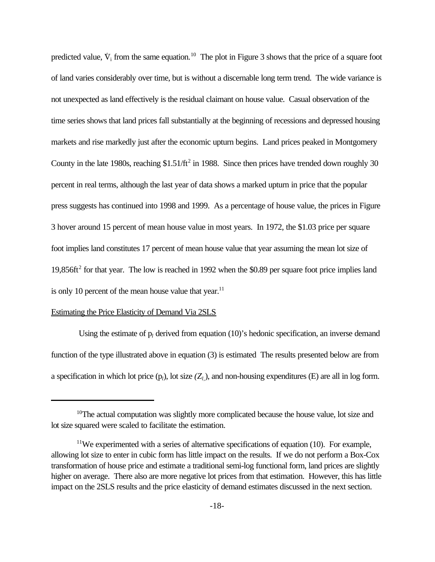predicted value,  $\hat{V}_i$  from the same equation.<sup>10</sup> The plot in Figure 3 shows that the price of a square foot of land varies considerably over time, but is without a discernable long term trend. The wide variance is not unexpected as land effectively is the residual claimant on house value. Casual observation of the time series shows that land prices fall substantially at the beginning of recessions and depressed housing markets and rise markedly just after the economic upturn begins. Land prices peaked in Montgomery County in the late 1980s, reaching  $$1.51/ft^2$  in 1988. Since then prices have trended down roughly 30 percent in real terms, although the last year of data shows a marked upturn in price that the popular press suggests has continued into 1998 and 1999. As a percentage of house value, the prices in Figure 3 hover around 15 percent of mean house value in most years. In 1972, the \$1.03 price per square foot implies land constitutes 17 percent of mean house value that year assuming the mean lot size of 19,856ft<sup>2</sup> for that year. The low is reached in 1992 when the \$0.89 per square foot price implies land is only 10 percent of the mean house value that year. $11$ 

## Estimating the Price Elasticity of Demand Via 2SLS

Using the estimate of  $p_l$  derived from equation (10)'s hedonic specification, an inverse demand function of the type illustrated above in equation (3) is estimated The results presented below are from a specification in which lot price  $(p_l)$ , lot size  $(Z_l)$ , and non-housing expenditures  $(E)$  are all in log form.

 $10$ The actual computation was slightly more complicated because the house value, lot size and lot size squared were scaled to facilitate the estimation.

<sup>&</sup>lt;sup>11</sup>We experimented with a series of alternative specifications of equation  $(10)$ . For example, allowing lot size to enter in cubic form has little impact on the results. If we do not perform a Box-Cox transformation of house price and estimate a traditional semi-log functional form, land prices are slightly higher on average. There also are more negative lot prices from that estimation. However, this has little impact on the 2SLS results and the price elasticity of demand estimates discussed in the next section.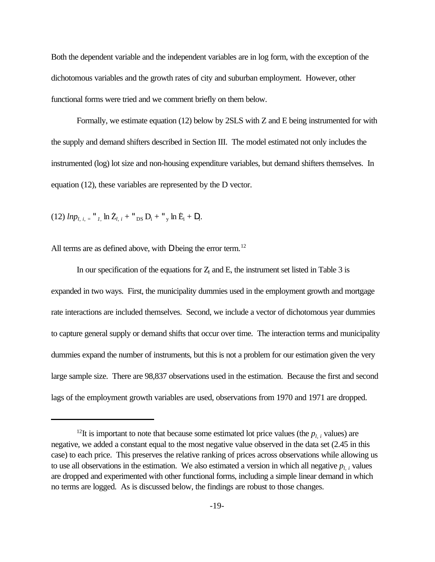Both the dependent variable and the independent variables are in log form, with the exception of the dichotomous variables and the growth rates of city and suburban employment. However, other functional forms were tried and we comment briefly on them below.

Formally, we estimate equation (12) below by 2SLS with Z and E being instrumented for with the supply and demand shifters described in Section III. The model estimated not only includes the instrumented (log) lot size and non-housing expenditure variables, but demand shifters themselves. In equation (12), these variables are represented by the D vector.

 $(12)$   $ln p_{l, i,} = "_{l,} \ln \hat{Z}_{l, i} + "_{DS} D_{i} + "_{y} \ln \hat{E}_{i} + D_{i}$ .

All terms are as defined above, with D being the error term.<sup>12</sup>

In our specification of the equations for  $Z<sub>1</sub>$  and E, the instrument set listed in Table 3 is expanded in two ways. First, the municipality dummies used in the employment growth and mortgage rate interactions are included themselves. Second, we include a vector of dichotomous year dummies to capture general supply or demand shifts that occur over time. The interaction terms and municipality dummies expand the number of instruments, but this is not a problem for our estimation given the very large sample size. There are 98,837 observations used in the estimation. Because the first and second lags of the employment growth variables are used, observations from 1970 and 1971 are dropped.

<sup>&</sup>lt;sup>12</sup>It is important to note that because some estimated lot price values (the  $p_i$ , values) are negative, we added a constant equal to the most negative value observed in the data set (2.45 in this case) to each price. This preserves the relative ranking of prices across observations while allowing us to use all observations in the estimation. We also estimated a version in which all negative  $p_i$ , values are dropped and experimented with other functional forms, including a simple linear demand in which no terms are logged. As is discussed below, the findings are robust to those changes.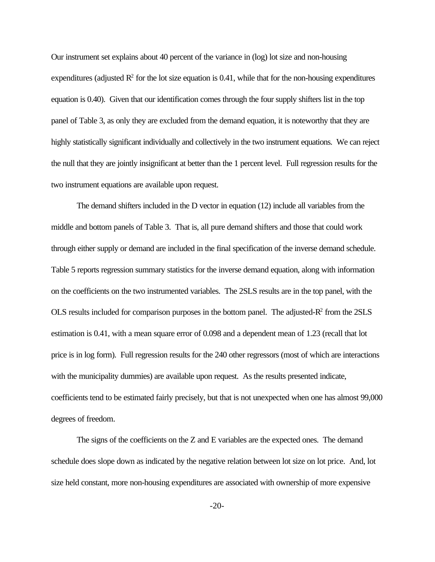Our instrument set explains about 40 percent of the variance in (log) lot size and non-housing expenditures (adjusted  $\mathbb{R}^2$  for the lot size equation is 0.41, while that for the non-housing expenditures equation is 0.40). Given that our identification comes through the four supply shifters list in the top panel of Table 3, as only they are excluded from the demand equation, it is noteworthy that they are highly statistically significant individually and collectively in the two instrument equations. We can reject the null that they are jointly insignificant at better than the 1 percent level. Full regression results for the two instrument equations are available upon request.

The demand shifters included in the D vector in equation (12) include all variables from the middle and bottom panels of Table 3. That is, all pure demand shifters and those that could work through either supply or demand are included in the final specification of the inverse demand schedule. Table 5 reports regression summary statistics for the inverse demand equation, along with information on the coefficients on the two instrumented variables. The 2SLS results are in the top panel, with the OLS results included for comparison purposes in the bottom panel. The adjusted- $R^2$  from the 2SLS estimation is 0.41, with a mean square error of 0.098 and a dependent mean of 1.23 (recall that lot price is in log form). Full regression results for the 240 other regressors (most of which are interactions with the municipality dummies) are available upon request. As the results presented indicate, coefficients tend to be estimated fairly precisely, but that is not unexpected when one has almost 99,000 degrees of freedom.

The signs of the coefficients on the Z and E variables are the expected ones. The demand schedule does slope down as indicated by the negative relation between lot size on lot price. And, lot size held constant, more non-housing expenditures are associated with ownership of more expensive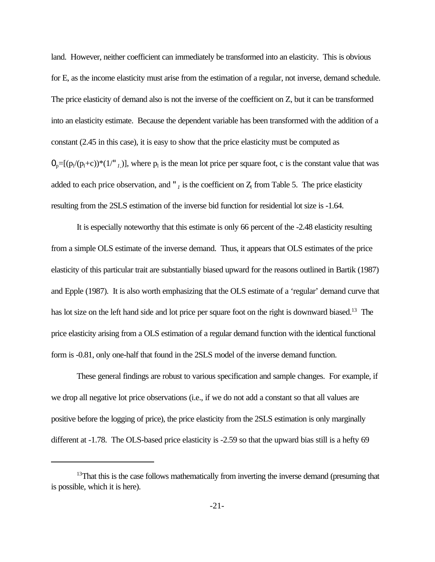land. However, neither coefficient can immediately be transformed into an elasticity. This is obvious for E, as the income elasticity must arise from the estimation of a regular, not inverse, demand schedule. The price elasticity of demand also is not the inverse of the coefficient on Z, but it can be transformed into an elasticity estimate. Because the dependent variable has been transformed with the addition of a constant (2.45 in this case), it is easy to show that the price elasticity must be computed as  $O_p = [(p_1/(p_1+c))^*(1'/n_1)]$ , where  $p_1$  is the mean lot price per square foot, c is the constant value that was added to each price observation, and  $''_1$  is the coefficient on  $Z_1$  from Table 5. The price elasticity resulting from the 2SLS estimation of the inverse bid function for residential lot size is -1.64.

It is especially noteworthy that this estimate is only 66 percent of the -2.48 elasticity resulting from a simple OLS estimate of the inverse demand. Thus, it appears that OLS estimates of the price elasticity of this particular trait are substantially biased upward for the reasons outlined in Bartik (1987) and Epple (1987). It is also worth emphasizing that the OLS estimate of a 'regular' demand curve that has lot size on the left hand side and lot price per square foot on the right is downward biased.<sup>13</sup> The price elasticity arising from a OLS estimation of a regular demand function with the identical functional form is -0.81, only one-half that found in the 2SLS model of the inverse demand function.

These general findings are robust to various specification and sample changes. For example, if we drop all negative lot price observations (i.e., if we do not add a constant so that all values are positive before the logging of price), the price elasticity from the 2SLS estimation is only marginally different at -1.78. The OLS-based price elasticity is -2.59 so that the upward bias still is a hefty 69

 $13$ That this is the case follows mathematically from inverting the inverse demand (presuming that is possible, which it is here).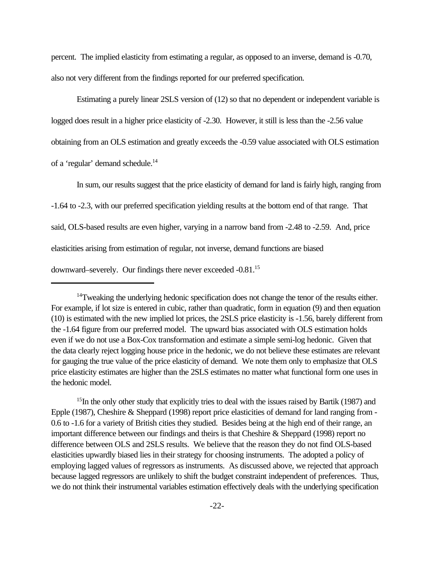percent. The implied elasticity from estimating a regular, as opposed to an inverse, demand is -0.70, also not very different from the findings reported for our preferred specification.

Estimating a purely linear 2SLS version of (12) so that no dependent or independent variable is logged does result in a higher price elasticity of -2.30. However, it still is less than the -2.56 value obtaining from an OLS estimation and greatly exceeds the -0.59 value associated with OLS estimation of a 'regular' demand schedule.<sup>14</sup>

In sum, our results suggest that the price elasticity of demand for land is fairly high, ranging from -1.64 to -2.3, with our preferred specification yielding results at the bottom end of that range. That said, OLS-based results are even higher, varying in a narrow band from -2.48 to -2.59. And, price elasticities arising from estimation of regular, not inverse, demand functions are biased downward–severely. Our findings there never exceeded -0.81.15

<sup>15</sup>In the only other study that explicitly tries to deal with the issues raised by Bartik (1987) and Epple (1987), Cheshire & Sheppard (1998) report price elasticities of demand for land ranging from - 0.6 to -1.6 for a variety of British cities they studied. Besides being at the high end of their range, an important difference between our findings and theirs is that Cheshire & Sheppard (1998) report no difference between OLS and 2SLS results. We believe that the reason they do not find OLS-based elasticities upwardly biased lies in their strategy for choosing instruments. The adopted a policy of employing lagged values of regressors as instruments. As discussed above, we rejected that approach because lagged regressors are unlikely to shift the budget constraint independent of preferences. Thus, we do not think their instrumental variables estimation effectively deals with the underlying specification

<sup>&</sup>lt;sup>14</sup>Tweaking the underlying hedonic specification does not change the tenor of the results either. For example, if lot size is entered in cubic, rather than quadratic, form in equation (9) and then equation (10) is estimated with the new implied lot prices, the 2SLS price elasticity is -1.56, barely different from the -1.64 figure from our preferred model. The upward bias associated with OLS estimation holds even if we do not use a Box-Cox transformation and estimate a simple semi-log hedonic. Given that the data clearly reject logging house price in the hedonic, we do not believe these estimates are relevant for gauging the true value of the price elasticity of demand. We note them only to emphasize that OLS price elasticity estimates are higher than the 2SLS estimates no matter what functional form one uses in the hedonic model.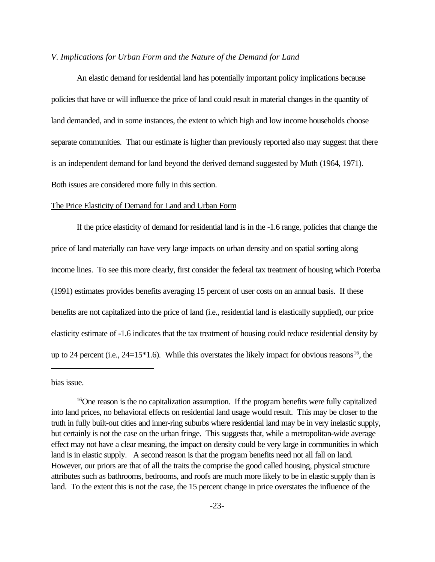#### *V. Implications for Urban Form and the Nature of the Demand for Land*

An elastic demand for residential land has potentially important policy implications because policies that have or will influence the price of land could result in material changes in the quantity of land demanded, and in some instances, the extent to which high and low income households choose separate communities. That our estimate is higher than previously reported also may suggest that there is an independent demand for land beyond the derived demand suggested by Muth (1964, 1971). Both issues are considered more fully in this section.

#### The Price Elasticity of Demand for Land and Urban Form

If the price elasticity of demand for residential land is in the -1.6 range, policies that change the price of land materially can have very large impacts on urban density and on spatial sorting along income lines. To see this more clearly, first consider the federal tax treatment of housing which Poterba (1991) estimates provides benefits averaging 15 percent of user costs on an annual basis. If these benefits are not capitalized into the price of land (i.e., residential land is elastically supplied), our price elasticity estimate of -1.6 indicates that the tax treatment of housing could reduce residential density by up to 24 percent (i.e.,  $24=15*1.6$ ). While this overstates the likely impact for obvious reasons<sup>16</sup>, the

bias issue.

<sup>&</sup>lt;sup>16</sup>One reason is the no capitalization assumption. If the program benefits were fully capitalized into land prices, no behavioral effects on residential land usage would result. This may be closer to the truth in fully built-out cities and inner-ring suburbs where residential land may be in very inelastic supply, but certainly is not the case on the urban fringe. This suggests that, while a metropolitan-wide average effect may not have a clear meaning, the impact on density could be very large in communities in which land is in elastic supply. A second reason is that the program benefits need not all fall on land. However, our priors are that of all the traits the comprise the good called housing, physical structure attributes such as bathrooms, bedrooms, and roofs are much more likely to be in elastic supply than is land. To the extent this is not the case, the 15 percent change in price overstates the influence of the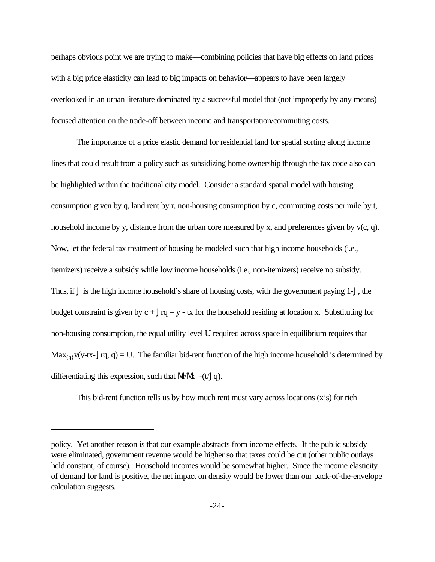perhaps obvious point we are trying to make—combining policies that have big effects on land prices with a big price elasticity can lead to big impacts on behavior—appears to have been largely overlooked in an urban literature dominated by a successful model that (not improperly by any means) focused attention on the trade-off between income and transportation/commuting costs.

The importance of a price elastic demand for residential land for spatial sorting along income lines that could result from a policy such as subsidizing home ownership through the tax code also can be highlighted within the traditional city model. Consider a standard spatial model with housing consumption given by q, land rent by r, non-housing consumption by c, commuting costs per mile by t, household income by y, distance from the urban core measured by x, and preferences given by  $v(c, q)$ . Now, let the federal tax treatment of housing be modeled such that high income households (i.e., itemizers) receive a subsidy while low income households (i.e., non-itemizers) receive no subsidy. Thus, if J is the high income household's share of housing costs, with the government paying 1-J, the budget constraint is given by  $c + Jrq = y - tx$  for the household residing at location x. Substituting for non-housing consumption, the equal utility level U required across space in equilibrium requires that  $Max_{(a)}v(y-tx-Jrq, q) = U$ . The familiar bid-rent function of the high income household is determined by differentiating this expression, such that  $Mr/Mx = (t/Jq)$ .

This bid-rent function tells us by how much rent must vary across locations  $(x's)$  for rich

policy. Yet another reason is that our example abstracts from income effects. If the public subsidy were eliminated, government revenue would be higher so that taxes could be cut (other public outlays held constant, of course). Household incomes would be somewhat higher. Since the income elasticity of demand for land is positive, the net impact on density would be lower than our back-of-the-envelope calculation suggests.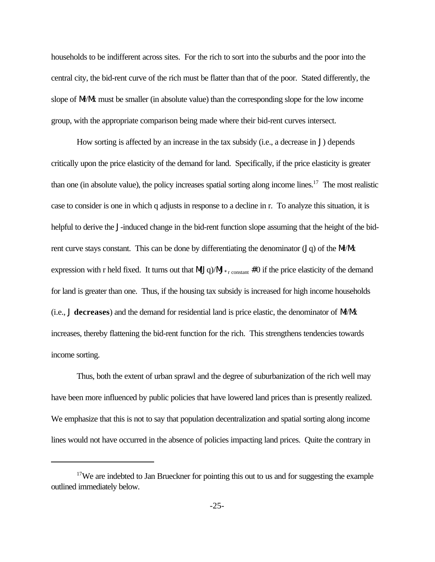households to be indifferent across sites. For the rich to sort into the suburbs and the poor into the central city, the bid-rent curve of the rich must be flatter than that of the poor. Stated differently, the slope of Mr/Mx must be smaller (in absolute value) than the corresponding slope for the low income group, with the appropriate comparison being made where their bid-rent curves intersect.

How sorting is affected by an increase in the tax subsidy (i.e., a decrease in J) depends critically upon the price elasticity of the demand for land. Specifically, if the price elasticity is greater than one (in absolute value), the policy increases spatial sorting along income lines.<sup>17</sup> The most realistic case to consider is one in which q adjusts in response to a decline in r. To analyze this situation, it is helpful to derive the J-induced change in the bid-rent function slope assuming that the height of the bidrent curve stays constant. This can be done by differentiating the denominator (Jq) of the Mr/Mx expression with r held fixed. It turns out that  $M(Jq)MJ_{r}$  r constant #0 if the price elasticity of the demand for land is greater than one. Thus, if the housing tax subsidy is increased for high income households (i.e., J **decreases**) and the demand for residential land is price elastic, the denominator of Mr/Mx increases, thereby flattening the bid-rent function for the rich. This strengthens tendencies towards income sorting.

Thus, both the extent of urban sprawl and the degree of suburbanization of the rich well may have been more influenced by public policies that have lowered land prices than is presently realized. We emphasize that this is not to say that population decentralization and spatial sorting along income lines would not have occurred in the absence of policies impacting land prices. Quite the contrary in

<sup>&</sup>lt;sup>17</sup>We are indebted to Jan Brueckner for pointing this out to us and for suggesting the example outlined immediately below.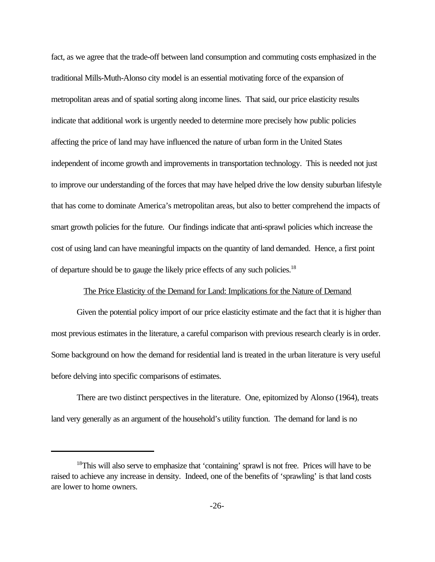fact, as we agree that the trade-off between land consumption and commuting costs emphasized in the traditional Mills-Muth-Alonso city model is an essential motivating force of the expansion of metropolitan areas and of spatial sorting along income lines. That said, our price elasticity results indicate that additional work is urgently needed to determine more precisely how public policies affecting the price of land may have influenced the nature of urban form in the United States independent of income growth and improvements in transportation technology. This is needed not just to improve our understanding of the forces that may have helped drive the low density suburban lifestyle that has come to dominate America's metropolitan areas, but also to better comprehend the impacts of smart growth policies for the future. Our findings indicate that anti-sprawl policies which increase the cost of using land can have meaningful impacts on the quantity of land demanded. Hence, a first point of departure should be to gauge the likely price effects of any such policies.<sup>18</sup>

#### The Price Elasticity of the Demand for Land: Implications for the Nature of Demand

Given the potential policy import of our price elasticity estimate and the fact that it is higher than most previous estimates in the literature, a careful comparison with previous research clearly is in order. Some background on how the demand for residential land is treated in the urban literature is very useful before delving into specific comparisons of estimates.

There are two distinct perspectives in the literature. One, epitomized by Alonso (1964), treats land very generally as an argument of the household's utility function. The demand for land is no

<sup>&</sup>lt;sup>18</sup>This will also serve to emphasize that 'containing' sprawl is not free. Prices will have to be raised to achieve any increase in density. Indeed, one of the benefits of 'sprawling' is that land costs are lower to home owners.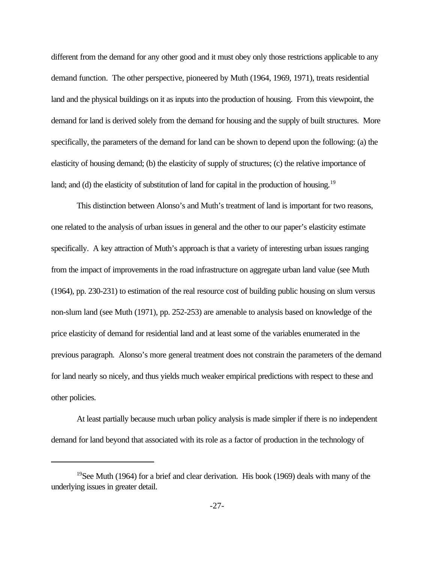different from the demand for any other good and it must obey only those restrictions applicable to any demand function. The other perspective, pioneered by Muth (1964, 1969, 1971), treats residential land and the physical buildings on it as inputs into the production of housing. From this viewpoint, the demand for land is derived solely from the demand for housing and the supply of built structures. More specifically, the parameters of the demand for land can be shown to depend upon the following: (a) the elasticity of housing demand; (b) the elasticity of supply of structures; (c) the relative importance of land; and (d) the elasticity of substitution of land for capital in the production of housing.<sup>19</sup>

This distinction between Alonso's and Muth's treatment of land is important for two reasons, one related to the analysis of urban issues in general and the other to our paper's elasticity estimate specifically. A key attraction of Muth's approach is that a variety of interesting urban issues ranging from the impact of improvements in the road infrastructure on aggregate urban land value (see Muth (1964), pp. 230-231) to estimation of the real resource cost of building public housing on slum versus non-slum land (see Muth (1971), pp. 252-253) are amenable to analysis based on knowledge of the price elasticity of demand for residential land and at least some of the variables enumerated in the previous paragraph. Alonso's more general treatment does not constrain the parameters of the demand for land nearly so nicely, and thus yields much weaker empirical predictions with respect to these and other policies.

At least partially because much urban policy analysis is made simpler if there is no independent demand for land beyond that associated with its role as a factor of production in the technology of

<sup>&</sup>lt;sup>19</sup>See Muth (1964) for a brief and clear derivation. His book (1969) deals with many of the underlying issues in greater detail.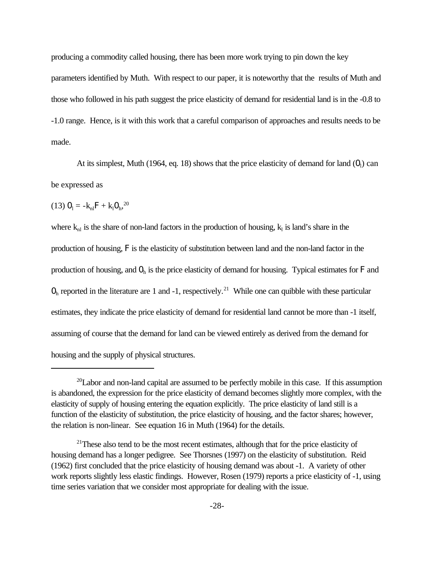producing a commodity called housing, there has been more work trying to pin down the key parameters identified by Muth. With respect to our paper, it is noteworthy that the results of Muth and those who followed in his path suggest the price elasticity of demand for residential land is in the -0.8 to -1.0 range. Hence, is it with this work that a careful comparison of approaches and results needs to be made.

At its simplest, Muth (1964, eq. 18) shows that the price elasticity of demand for land  $(O<sub>l</sub>)$  can be expressed as

(13)  $Q_l = -k_{nl}F + k_lQ_h^{20}$ 

where  $k_{nl}$  is the share of non-land factors in the production of housing,  $k_l$  is land's share in the production of housing, F is the elasticity of substitution between land and the non-land factor in the production of housing, and  $O<sub>h</sub>$  is the price elasticity of demand for housing. Typical estimates for  $F$  and  $O<sub>h</sub>$  reported in the literature are 1 and -1, respectively.<sup>21</sup> While one can quibble with these particular estimates, they indicate the price elasticity of demand for residential land cannot be more than -1 itself, assuming of course that the demand for land can be viewed entirely as derived from the demand for housing and the supply of physical structures.

 $20$ Labor and non-land capital are assumed to be perfectly mobile in this case. If this assumption is abandoned, the expression for the price elasticity of demand becomes slightly more complex, with the elasticity of supply of housing entering the equation explicitly. The price elasticity of land still is a function of the elasticity of substitution, the price elasticity of housing, and the factor shares; however, the relation is non-linear. See equation 16 in Muth (1964) for the details.

 $21$ These also tend to be the most recent estimates, although that for the price elasticity of housing demand has a longer pedigree. See Thorsnes (1997) on the elasticity of substitution. Reid (1962) first concluded that the price elasticity of housing demand was about -1. A variety of other work reports slightly less elastic findings. However, Rosen (1979) reports a price elasticity of -1, using time series variation that we consider most appropriate for dealing with the issue.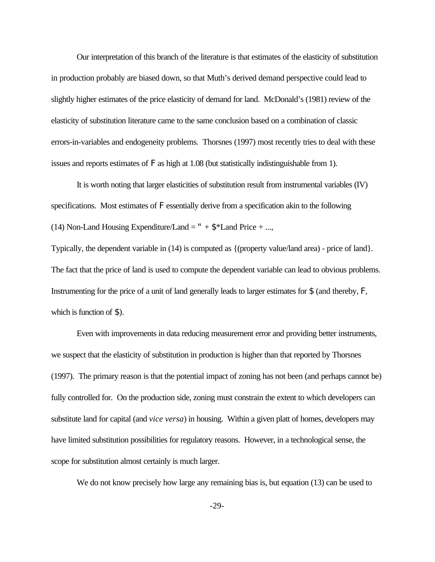Our interpretation of this branch of the literature is that estimates of the elasticity of substitution in production probably are biased down, so that Muth's derived demand perspective could lead to slightly higher estimates of the price elasticity of demand for land. McDonald's (1981) review of the elasticity of substitution literature came to the same conclusion based on a combination of classic errors-in-variables and endogeneity problems. Thorsnes (1997) most recently tries to deal with these issues and reports estimates of F as high at 1.08 (but statistically indistinguishable from 1).

It is worth noting that larger elasticities of substitution result from instrumental variables (IV) specifications. Most estimates of F essentially derive from a specification akin to the following (14) Non-Land Housing Expenditure/Land =  $" +$  \$\*Land Price + ...,

Typically, the dependent variable in (14) is computed as {(property value/land area) - price of land}. The fact that the price of land is used to compute the dependent variable can lead to obvious problems. Instrumenting for the price of a unit of land generally leads to larger estimates for \$ (and thereby, F, which is function of \$).

Even with improvements in data reducing measurement error and providing better instruments, we suspect that the elasticity of substitution in production is higher than that reported by Thorsnes (1997). The primary reason is that the potential impact of zoning has not been (and perhaps cannot be) fully controlled for. On the production side, zoning must constrain the extent to which developers can substitute land for capital (and *vice versa*) in housing. Within a given platt of homes, developers may have limited substitution possibilities for regulatory reasons. However, in a technological sense, the scope for substitution almost certainly is much larger.

We do not know precisely how large any remaining bias is, but equation (13) can be used to

-29-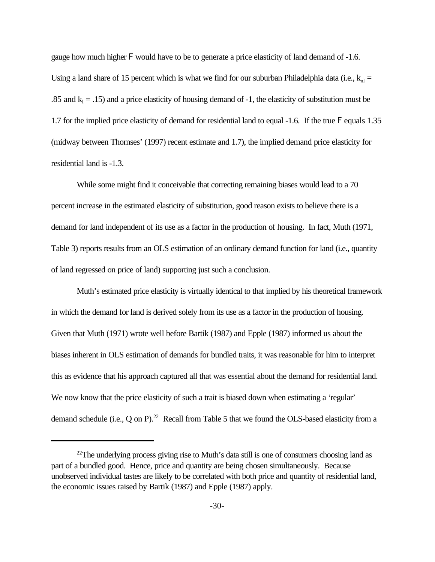gauge how much higher F would have to be to generate a price elasticity of land demand of -1.6. Using a land share of 15 percent which is what we find for our suburban Philadelphia data (i.e.,  $k_{nl}$  = .85 and  $k_1 = .15$ ) and a price elasticity of housing demand of -1, the elasticity of substitution must be 1.7 for the implied price elasticity of demand for residential land to equal -1.6. If the true F equals 1.35 (midway between Thornses' (1997) recent estimate and 1.7), the implied demand price elasticity for residential land is -1.3.

While some might find it conceivable that correcting remaining biases would lead to a 70 percent increase in the estimated elasticity of substitution, good reason exists to believe there is a demand for land independent of its use as a factor in the production of housing. In fact, Muth (1971, Table 3) reports results from an OLS estimation of an ordinary demand function for land (i.e., quantity of land regressed on price of land) supporting just such a conclusion.

Muth's estimated price elasticity is virtually identical to that implied by his theoretical framework in which the demand for land is derived solely from its use as a factor in the production of housing. Given that Muth (1971) wrote well before Bartik (1987) and Epple (1987) informed us about the biases inherent in OLS estimation of demands for bundled traits, it was reasonable for him to interpret this as evidence that his approach captured all that was essential about the demand for residential land. We now know that the price elasticity of such a trait is biased down when estimating a 'regular' demand schedule (i.e., Q on P).<sup>22</sup> Recall from Table 5 that we found the OLS-based elasticity from a

 $22$ The underlying process giving rise to Muth's data still is one of consumers choosing land as part of a bundled good. Hence, price and quantity are being chosen simultaneously. Because unobserved individual tastes are likely to be correlated with both price and quantity of residential land, the economic issues raised by Bartik (1987) and Epple (1987) apply.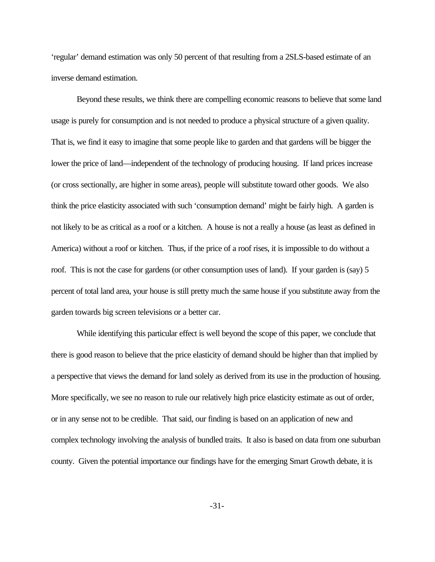'regular' demand estimation was only 50 percent of that resulting from a 2SLS-based estimate of an inverse demand estimation.

Beyond these results, we think there are compelling economic reasons to believe that some land usage is purely for consumption and is not needed to produce a physical structure of a given quality. That is, we find it easy to imagine that some people like to garden and that gardens will be bigger the lower the price of land—independent of the technology of producing housing. If land prices increase (or cross sectionally, are higher in some areas), people will substitute toward other goods. We also think the price elasticity associated with such 'consumption demand' might be fairly high. A garden is not likely to be as critical as a roof or a kitchen. A house is not a really a house (as least as defined in America) without a roof or kitchen. Thus, if the price of a roof rises, it is impossible to do without a roof. This is not the case for gardens (or other consumption uses of land). If your garden is (say) 5 percent of total land area, your house is still pretty much the same house if you substitute away from the garden towards big screen televisions or a better car.

While identifying this particular effect is well beyond the scope of this paper, we conclude that there is good reason to believe that the price elasticity of demand should be higher than that implied by a perspective that views the demand for land solely as derived from its use in the production of housing. More specifically, we see no reason to rule our relatively high price elasticity estimate as out of order, or in any sense not to be credible. That said, our finding is based on an application of new and complex technology involving the analysis of bundled traits. It also is based on data from one suburban county. Given the potential importance our findings have for the emerging Smart Growth debate, it is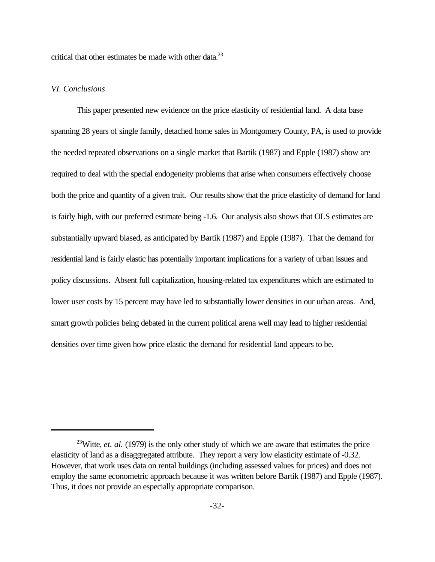critical that other estimates be made with other data.<sup>23</sup>

### *VI. Conclusions*

This paper presented new evidence on the price elasticity of residential land. A data base spanning 28 years of single family, detached home sales in Montgomery County, PA, is used to provide the needed repeated observations on a single market that Bartik (1987) and Epple (1987) show are required to deal with the special endogeneity problems that arise when consumers effectively choose both the price and quantity of a given trait. Our results show that the price elasticity of demand for land is fairly high, with our preferred estimate being -1.6. Our analysis also shows that OLS estimates are substantially upward biased, as anticipated by Bartik (1987) and Epple (1987). That the demand for residential land is fairly elastic has potentially important implications for a variety of urban issues and policy discussions. Absent full capitalization, housing-related tax expenditures which are estimated to lower user costs by 15 percent may have led to substantially lower densities in our urban areas. And, smart growth policies being debated in the current political arena well may lead to higher residential densities over time given how price elastic the demand for residential land appears to be.

<sup>&</sup>lt;sup>23</sup>Witte, *et. al.* (1979) is the only other study of which we are aware that estimates the price elasticity of land as a disaggregated attribute. They report a very low elasticity estimate of -0.32. However, that work uses data on rental buildings (including assessed values for prices) and does not employ the same econometric approach because it was written before Bartik (1987) and Epple (1987). Thus, it does not provide an especially appropriate comparison.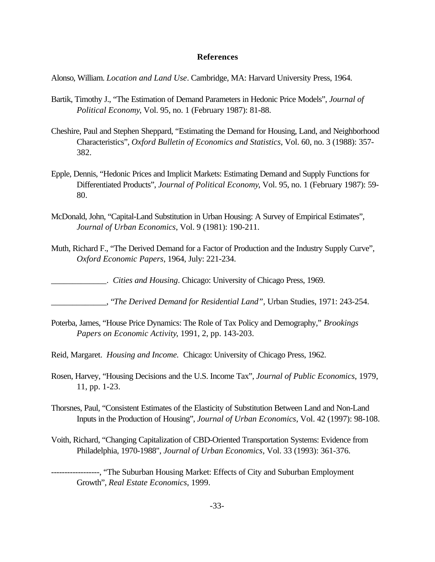#### **References**

Alonso, William. *Location and Land Use*. Cambridge, MA: Harvard University Press, 1964.

- Bartik, Timothy J., "The Estimation of Demand Parameters in Hedonic Price Models", *Journal of Political Economy*, Vol. 95, no. 1 (February 1987): 81-88.
- Cheshire, Paul and Stephen Sheppard, "Estimating the Demand for Housing, Land, and Neighborhood Characteristics", *Oxford Bulletin of Economics and Statistics*, Vol. 60, no. 3 (1988): 357- 382.
- Epple, Dennis, "Hedonic Prices and Implicit Markets: Estimating Demand and Supply Functions for Differentiated Products", *Journal of Political Economy*, Vol. 95, no. 1 (February 1987): 59- 80.
- McDonald, John, "Capital-Land Substitution in Urban Housing: A Survey of Empirical Estimates", *Journal of Urban Economics*, Vol. 9 (1981): 190-211.
- Muth, Richard F., "The Derived Demand for a Factor of Production and the Industry Supply Curve", *Oxford Economic Papers*, 1964, July: 221-234.

\_\_\_\_\_\_\_\_\_\_\_\_\_. *Cities and Housing*. Chicago: University of Chicago Press, 1969.

\_\_\_\_\_\_\_\_\_\_\_\_\_, "*The Derived Demand for Residential Land",* Urban Studies, 1971: 243-254.

- Poterba, James, "House Price Dynamics: The Role of Tax Policy and Demography," *Brookings Papers on Economic Activity*, 1991, 2, pp. 143-203.
- Reid, Margaret. *Housing and Income.* Chicago: University of Chicago Press, 1962.
- Rosen, Harvey, "Housing Decisions and the U.S. Income Tax", *Journal of Public Economics*, 1979, 11, pp. 1-23.
- Thorsnes, Paul, "Consistent Estimates of the Elasticity of Substitution Between Land and Non-Land Inputs in the Production of Housing", *Journal of Urban Economics*, Vol. 42 (1997): 98-108.
- Voith, Richard, "Changing Capitalization of CBD-Oriented Transportation Systems: Evidence from Philadelphia, 1970-1988", *Journal of Urban Economics,* Vol. 33 (1993): 361-376.

<sup>--------, &</sup>quot;The Suburban Housing Market: Effects of City and Suburban Employment Growth", *Real Estate Economics*, 1999.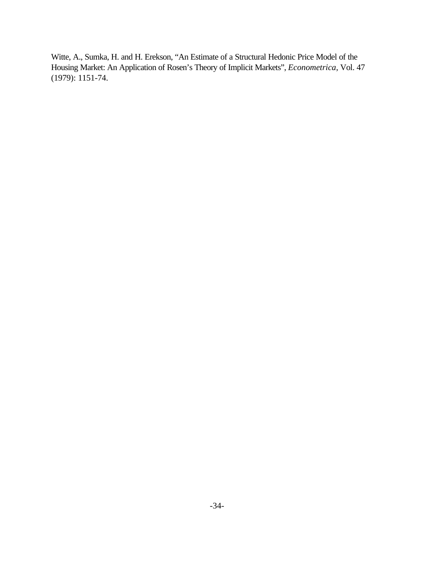Witte, A., Sumka, H. and H. Erekson, "An Estimate of a Structural Hedonic Price Model of the Housing Market: An Application of Rosen's Theory of Implicit Markets", *Econometrica*, Vol. 47 (1979): 1151-74.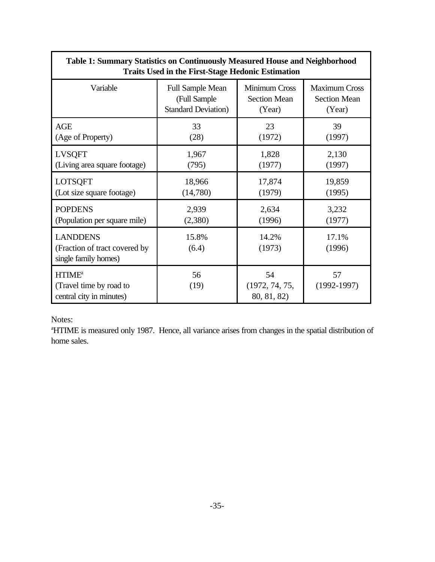| Table 1: Summary Statistics on Continuously Measured House and Neighborhood<br><b>Traits Used in the First-Stage Hedonic Estimation</b> |                             |                                     |                       |
|-----------------------------------------------------------------------------------------------------------------------------------------|-----------------------------|-------------------------------------|-----------------------|
| Variable                                                                                                                                | <b>Full Sample Mean</b>     | Minimum Cross                       | <b>Maximum Cross</b>  |
|                                                                                                                                         | (Full Sample)               | <b>Section Mean</b>                 | <b>Section Mean</b>   |
|                                                                                                                                         | <b>Standard Deviation</b> ) | (Year)                              | (Year)                |
| <b>AGE</b>                                                                                                                              | 33                          | 23                                  | 39                    |
| (Age of Property)                                                                                                                       | (28)                        | (1972)                              | (1997)                |
| <b>LVSQFT</b>                                                                                                                           | 1,967                       | 1,828                               | 2,130                 |
| (Living area square footage)                                                                                                            | (795)                       | (1977)                              | (1997)                |
| <b>LOTSQFT</b>                                                                                                                          | 18,966                      | 17,874                              | 19,859                |
| (Lot size square footage)                                                                                                               | (14,780)                    | (1979)                              | (1995)                |
| <b>POPDENS</b>                                                                                                                          | 2,939                       | 2,634                               | 3,232                 |
| (Population per square mile)                                                                                                            | (2,380)                     | (1996)                              | (1977)                |
| <b>LANDDENS</b><br>(Fraction of tract covered by<br>single family homes)                                                                | 15.8%<br>(6.4)              | 14.2%<br>(1973)                     | 17.1%<br>(1996)       |
| <b>HTIME<sup>a</sup></b><br>(Travel time by road to<br>central city in minutes)                                                         | 56<br>(19)                  | 54<br>(1972, 74, 75,<br>80, 81, 82) | 57<br>$(1992 - 1997)$ |

# Notes:

<sup>a</sup>HTIME is measured only 1987. Hence, all variance arises from changes in the spatial distribution of home sales.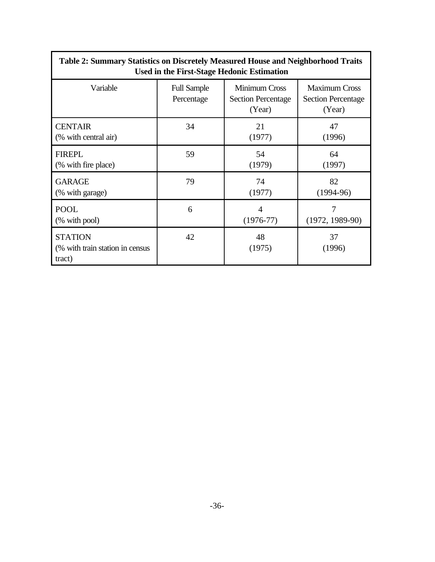| Table 2: Summary Statistics on Discretely Measured House and Neighborhood Traits<br><b>Used in the First-Stage Hedonic Estimation</b> |                                  |                                                      |                                                             |
|---------------------------------------------------------------------------------------------------------------------------------------|----------------------------------|------------------------------------------------------|-------------------------------------------------------------|
| Variable                                                                                                                              | <b>Full Sample</b><br>Percentage | Minimum Cross<br><b>Section Percentage</b><br>(Year) | <b>Maximum Cross</b><br><b>Section Percentage</b><br>(Year) |
| <b>CENTAIR</b>                                                                                                                        | 34                               | 21                                                   | 47                                                          |
| (% with central air)                                                                                                                  |                                  | (1977)                                               | (1996)                                                      |
| <b>FIREPL</b>                                                                                                                         | 59                               | 54                                                   | 64                                                          |
| (% with fire place)                                                                                                                   |                                  | (1979)                                               | (1997)                                                      |
| <b>GARAGE</b>                                                                                                                         | 79                               | 74                                                   | 82                                                          |
| (% with garage)                                                                                                                       |                                  | (1977)                                               | $(1994-96)$                                                 |
| <b>POOL</b>                                                                                                                           | 6                                | 4                                                    | 7                                                           |
| (% with pool)                                                                                                                         |                                  | $(1976 - 77)$                                        | $(1972, 1989-90)$                                           |
| <b>STATION</b><br>(% with train station in census)<br>tract)                                                                          | 42                               | 48<br>(1975)                                         | 37<br>(1996)                                                |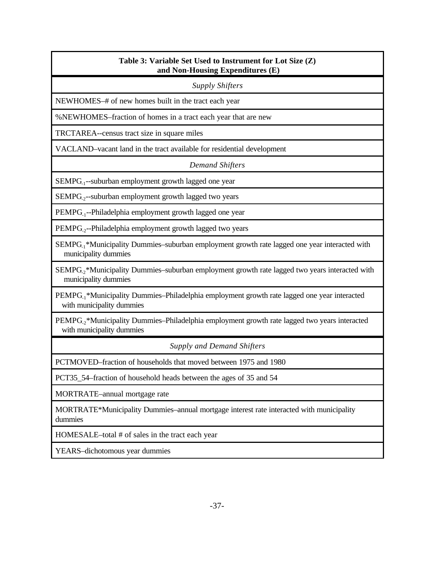## **Table 3: Variable Set Used to Instrument for Lot Size (Z) and Non-Housing Expenditures (E)**

*Supply Shifters*

NEWHOMES–# of new homes built in the tract each year

%NEWHOMES–fraction of homes in a tract each year that are new

TRCTAREA--census tract size in square miles

VACLAND–vacant land in the tract available for residential development

*Demand Shifters*

SEMPG-1--suburban employment growth lagged one year

 $SEMPG_{2}$ --suburban employment growth lagged two years

PEMPG-1--Philadelphia employment growth lagged one year

PEMPG<sub>-2</sub>--Philadelphia employment growth lagged two years

SEMPG-1\*Municipality Dummies–suburban employment growth rate lagged one year interacted with municipality dummies

SEMPG-2\*Municipality Dummies–suburban employment growth rate lagged two years interacted with municipality dummies

PEMPG<sub>-1</sub>\*Municipality Dummies–Philadelphia employment growth rate lagged one year interacted with municipality dummies

PEMPG<sub>-2</sub>\*Municipality Dummies–Philadelphia employment growth rate lagged two years interacted with municipality dummies

*Supply and Demand Shifters*

PCTMOVED–fraction of households that moved between 1975 and 1980

PCT35\_54–fraction of household heads between the ages of 35 and 54

MORTRATE–annual mortgage rate

MORTRATE\*Municipality Dummies–annual mortgage interest rate interacted with municipality dummies

HOMESALE–total # of sales in the tract each year

YEARS–dichotomous year dummies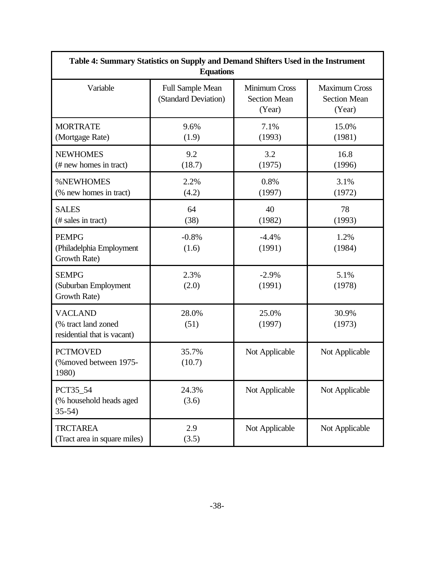| Table 4: Summary Statistics on Supply and Demand Shifters Used in the Instrument<br><b>Equations</b> |                                                 |                                                |                                                       |
|------------------------------------------------------------------------------------------------------|-------------------------------------------------|------------------------------------------------|-------------------------------------------------------|
| Variable                                                                                             | <b>Full Sample Mean</b><br>(Standard Deviation) | Minimum Cross<br><b>Section Mean</b><br>(Year) | <b>Maximum Cross</b><br><b>Section Mean</b><br>(Year) |
| <b>MORTRATE</b><br>(Mortgage Rate)                                                                   | 9.6%<br>(1.9)                                   | 7.1%<br>(1993)                                 | 15.0%<br>(1981)                                       |
| <b>NEWHOMES</b><br>(# new homes in tract)                                                            | 9.2<br>(18.7)                                   | 3.2<br>(1975)                                  | 16.8<br>(1996)                                        |
| %NEWHOMES<br>(% new homes in tract)                                                                  | 2.2%<br>(4.2)                                   | 0.8%<br>(1997)                                 | 3.1%<br>(1972)                                        |
| <b>SALES</b><br>(# sales in tract)                                                                   | 64<br>(38)                                      | 40<br>(1982)                                   | 78<br>(1993)                                          |
| <b>PEMPG</b><br>(Philadelphia Employment<br>Growth Rate)                                             | $-0.8%$<br>(1.6)                                | $-4.4%$<br>(1991)                              | 1.2%<br>(1984)                                        |
| <b>SEMPG</b><br>(Suburban Employment<br>Growth Rate)                                                 | 2.3%<br>(2.0)                                   | $-2.9%$<br>(1991)                              | 5.1%<br>(1978)                                        |
| <b>VACLAND</b><br>(% tract land zoned<br>residential that is vacant)                                 | 28.0%<br>(51)                                   | 25.0%<br>(1997)                                | 30.9%<br>(1973)                                       |
| <b>PCTMOVED</b><br>(%moved between 1975-<br>1980)                                                    | 35.7%<br>(10.7)                                 | Not Applicable                                 | Not Applicable                                        |
| PCT35_54<br>(% household heads aged<br>$35-54$                                                       | 24.3%<br>(3.6)                                  | Not Applicable                                 | Not Applicable                                        |
| <b>TRCTAREA</b><br>(Tract area in square miles)                                                      | 2.9<br>(3.5)                                    | Not Applicable                                 | Not Applicable                                        |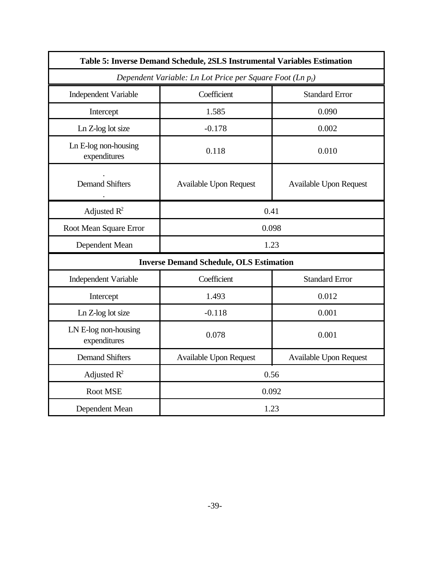| Table 5: Inverse Demand Schedule, 2SLS Instrumental Variables Estimation |                                                              |                               |  |
|--------------------------------------------------------------------------|--------------------------------------------------------------|-------------------------------|--|
|                                                                          | Dependent Variable: Ln Lot Price per Square Foot (Ln $p_l$ ) |                               |  |
| Independent Variable                                                     | Coefficient<br><b>Standard Error</b>                         |                               |  |
| Intercept                                                                | 1.585                                                        | 0.090                         |  |
| Ln Z-log lot size                                                        | $-0.178$                                                     | 0.002                         |  |
| Ln E-log non-housing<br>expenditures                                     | 0.118                                                        | 0.010                         |  |
| <b>Demand Shifters</b>                                                   | <b>Available Upon Request</b>                                | <b>Available Upon Request</b> |  |
| Adjusted $R^2$                                                           | 0.41                                                         |                               |  |
| Root Mean Square Error                                                   | 0.098                                                        |                               |  |
| Dependent Mean                                                           | 1.23                                                         |                               |  |
| <b>Inverse Demand Schedule, OLS Estimation</b>                           |                                                              |                               |  |
| <b>Independent Variable</b>                                              | Coefficient                                                  | <b>Standard Error</b>         |  |
| Intercept                                                                | 1.493                                                        | 0.012                         |  |
| Ln Z-log lot size                                                        | $-0.118$                                                     | 0.001                         |  |
| LN E-log non-housing<br>expenditures                                     | 0.078                                                        | 0.001                         |  |
| <b>Demand Shifters</b>                                                   | <b>Available Upon Request</b>                                | <b>Available Upon Request</b> |  |
| Adjusted $\mathbb{R}^2$                                                  | 0.56                                                         |                               |  |
| Root MSE                                                                 | 0.092                                                        |                               |  |
| Dependent Mean                                                           | 1.23                                                         |                               |  |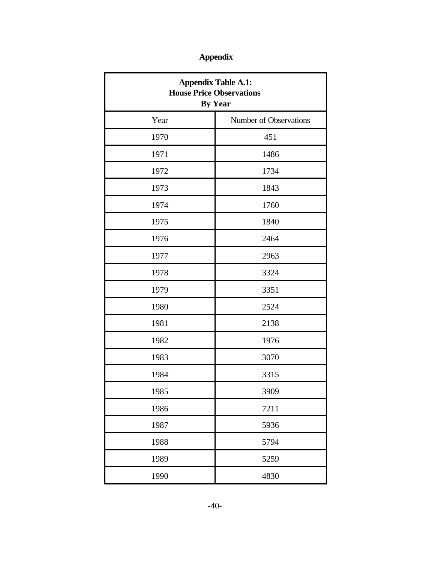| Appendix |  |
|----------|--|
|          |  |

| <b>Appendix Table A.1:</b><br><b>House Price Observations</b><br><b>By Year</b> |                        |  |
|---------------------------------------------------------------------------------|------------------------|--|
| Year                                                                            | Number of Observations |  |
| 1970                                                                            | 451                    |  |
| 1971                                                                            | 1486                   |  |
| 1972                                                                            | 1734                   |  |
| 1973                                                                            | 1843                   |  |
| 1974                                                                            | 1760                   |  |
| 1975                                                                            | 1840                   |  |
| 1976                                                                            | 2464                   |  |
| 1977                                                                            | 2963                   |  |
| 1978                                                                            | 3324                   |  |
| 1979                                                                            | 3351                   |  |
| 1980                                                                            | 2524                   |  |
| 1981                                                                            | 2138                   |  |
| 1982                                                                            | 1976                   |  |
| 1983                                                                            | 3070                   |  |
| 1984                                                                            | 3315                   |  |
| 1985                                                                            | 3909                   |  |
| 1986                                                                            | 7211                   |  |
| 1987                                                                            | 5936                   |  |
| 1988                                                                            | 5794                   |  |
| 1989                                                                            | 5259                   |  |
| 1990                                                                            | 4830                   |  |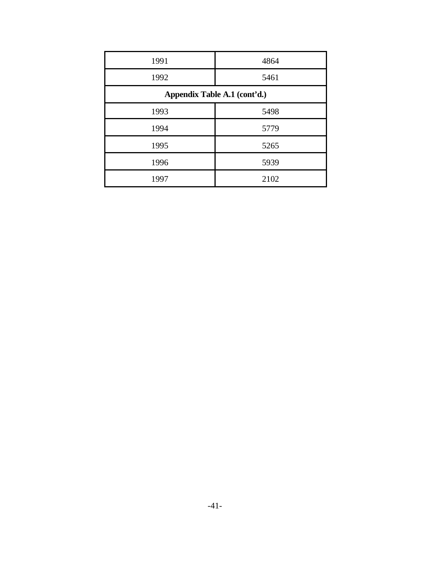| 1991                         | 4864 |  |
|------------------------------|------|--|
| 1992                         | 5461 |  |
| Appendix Table A.1 (cont'd.) |      |  |
| 1993                         | 5498 |  |
| 1994                         | 5779 |  |
| 1995                         | 5265 |  |
| 1996                         | 5939 |  |
| 1997                         | 2102 |  |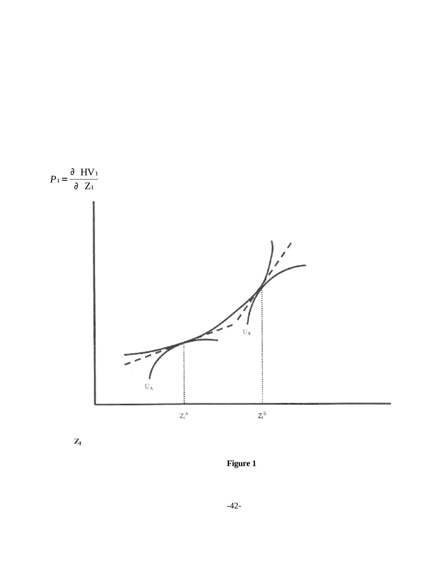



**Figure 1**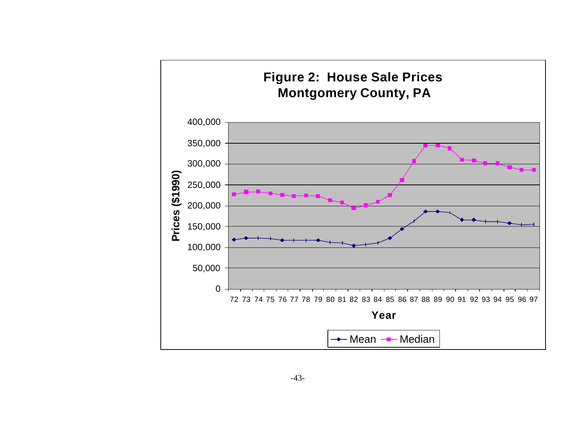